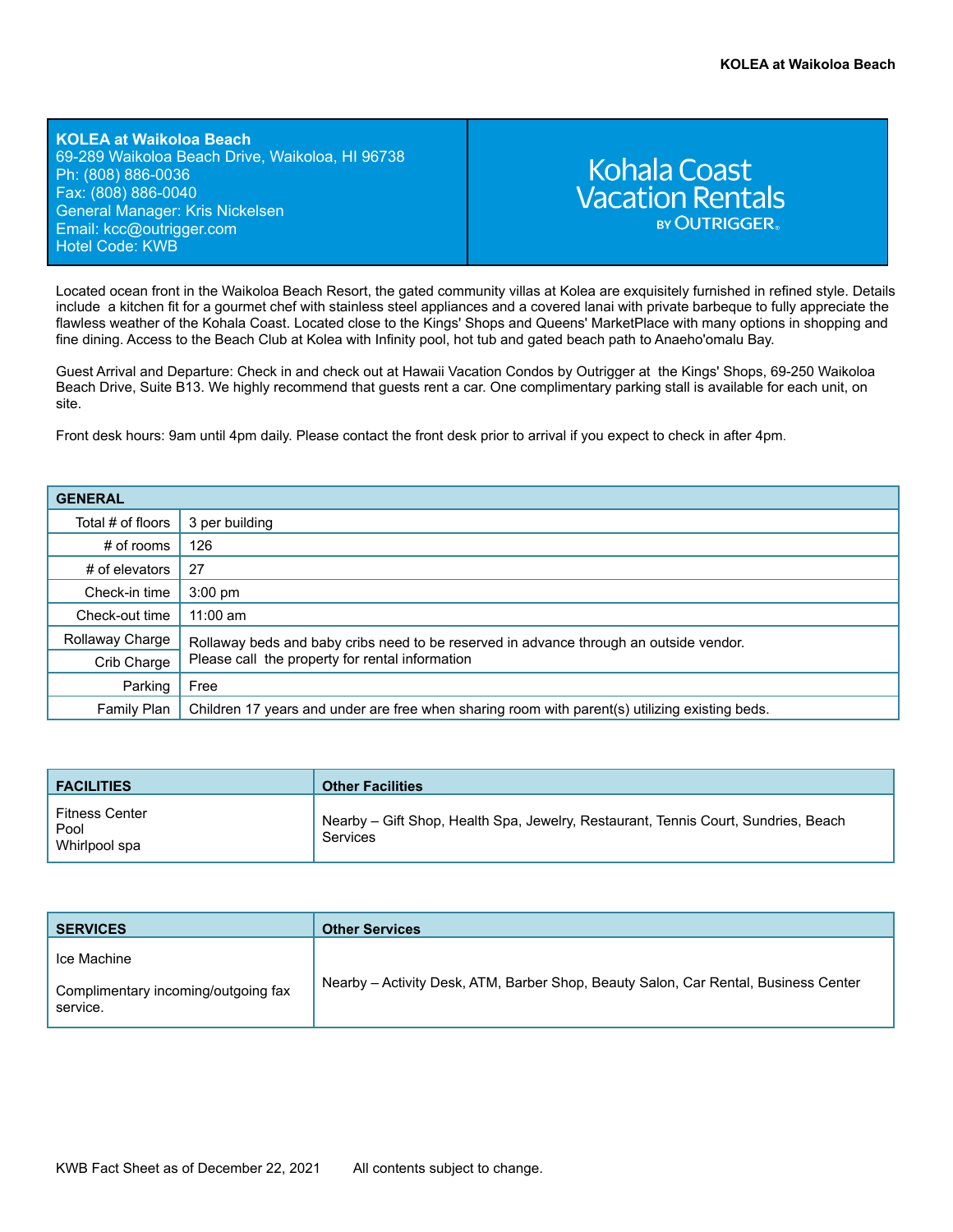**KOLEA at Waikoloa Beach** 69-289 Waikoloa Beach Drive, Waikoloa, HI 96738 Ph: (808) 886-0036 Fax: (808) 886-0040 General Manager: Kris Nickelsen Email: kcc[@outrigger.com](mailto:orf@outrigger.com) Hotel Code: KWB

# **Kohala Coast Vacation Rentals BY OUTRIGGER**

Located ocean front in the Waikoloa Beach Resort, the gated community villas at Kolea are exquisitely furnished in refined style. Details include a kitchen fit for a gourmet chef with stainless steel appliances and a covered lanai with private barbeque to fully appreciate the flawless weather of the Kohala Coast. Located close to the Kings' Shops and Queens' MarketPlace with many options in shopping and fine dining. Access to the Beach Club at Kolea with Infinity pool, hot tub and gated beach path to Anaeho'omalu Bay.

Guest Arrival and Departure: Check in and check out at Hawaii Vacation Condos by Outrigger at the Kings' Shops, 69-250 Waikoloa Beach Drive, Suite B13. We highly recommend that guests rent a car. One complimentary parking stall is available for each unit, on site.

Front desk hours: 9am until 4pm daily. Please contact the front desk prior to arrival if you expect to check in after 4pm.

# **GENERAL**

| UENENAL           |                                                                                                |  |
|-------------------|------------------------------------------------------------------------------------------------|--|
| Total # of floors | 3 per building                                                                                 |  |
| # of rooms        | 126                                                                                            |  |
| # of elevators    | 27                                                                                             |  |
| Check-in time     | $3:00 \text{ pm}$                                                                              |  |
| Check-out time    | $11:00$ am                                                                                     |  |
| Rollaway Charge   | Rollaway beds and baby cribs need to be reserved in advance through an outside vendor.         |  |
| Crib Charge       | Please call the property for rental information                                                |  |
| Parking           | Free                                                                                           |  |
| Family Plan       | Children 17 years and under are free when sharing room with parent(s) utilizing existing beds. |  |

| <b>FACILITIES</b>                              | <b>Other Facilities</b>                                                                        |
|------------------------------------------------|------------------------------------------------------------------------------------------------|
| <b>Fitness Center</b><br>Pool<br>Whirlpool spa | Nearby - Gift Shop, Health Spa, Jewelry, Restaurant, Tennis Court, Sundries, Beach<br>Services |

| <b>SERVICES</b>                                                | <b>Other Services</b>                                                               |
|----------------------------------------------------------------|-------------------------------------------------------------------------------------|
| Ice Machine<br>Complimentary incoming/outgoing fax<br>service. | Nearby - Activity Desk, ATM, Barber Shop, Beauty Salon, Car Rental, Business Center |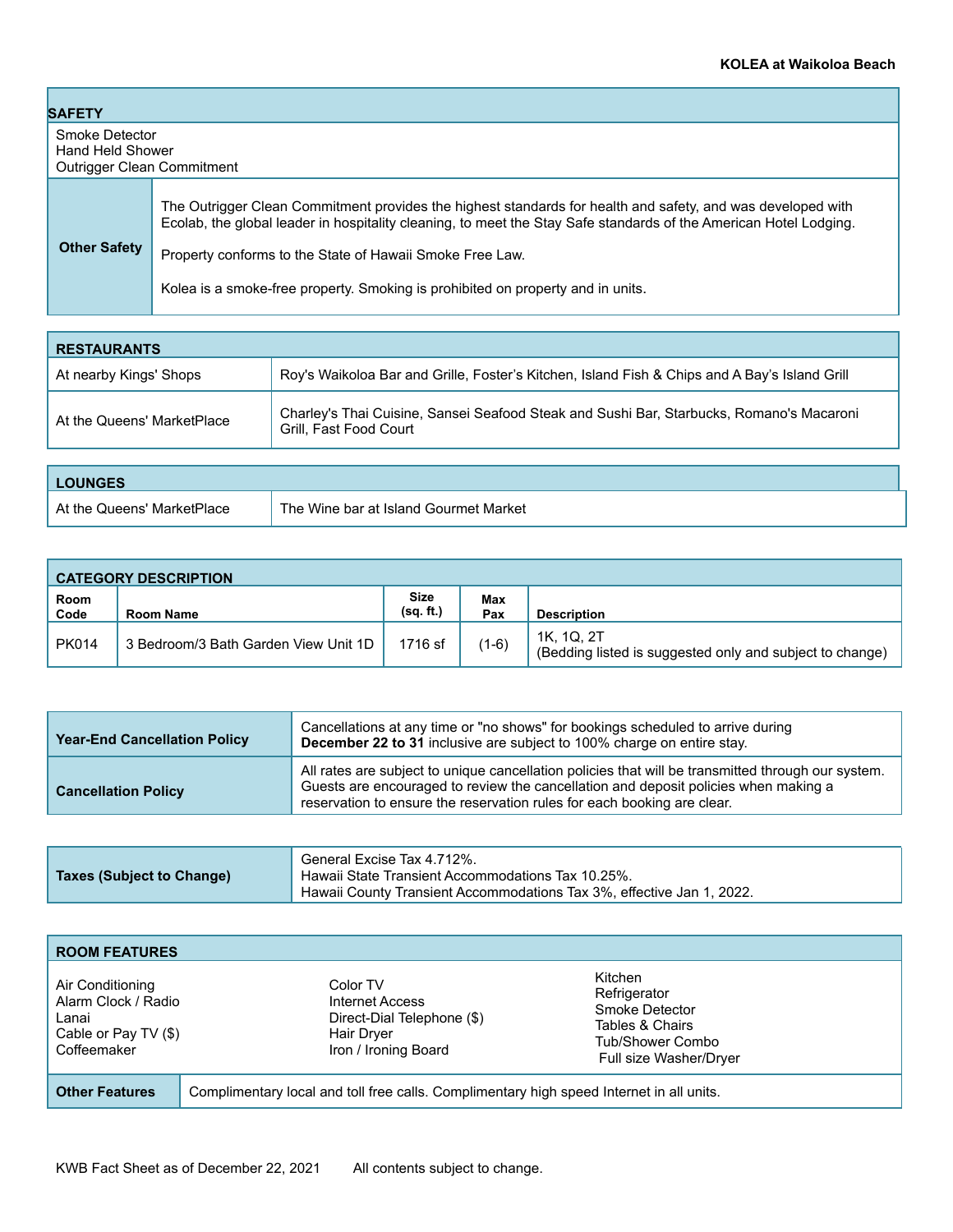| <b>SAFETY</b>                                                    |                                                                                                                                                                                                                                                                                              |  |
|------------------------------------------------------------------|----------------------------------------------------------------------------------------------------------------------------------------------------------------------------------------------------------------------------------------------------------------------------------------------|--|
| Smoke Detector<br>Hand Held Shower<br>Outrigger Clean Commitment |                                                                                                                                                                                                                                                                                              |  |
| <b>Other Safety</b>                                              | The Outrigger Clean Commitment provides the highest standards for health and safety, and was developed with<br>Ecolab, the global leader in hospitality cleaning, to meet the Stay Safe standards of the American Hotel Lodging.<br>Property conforms to the State of Hawaii Smoke Free Law. |  |
|                                                                  | Kolea is a smoke-free property. Smoking is prohibited on property and in units.                                                                                                                                                                                                              |  |

| <b>RESTAURANTS</b>         |                                                                                                                    |
|----------------------------|--------------------------------------------------------------------------------------------------------------------|
| At nearby Kings' Shops     | Roy's Waikoloa Bar and Grille, Foster's Kitchen, Island Fish & Chips and A Bay's Island Grill                      |
| At the Queens' MarketPlace | Charley's Thai Cuisine, Sansei Seafood Steak and Sushi Bar, Starbucks, Romano's Macaroni<br>Grill, Fast Food Court |
|                            |                                                                                                                    |

| <b>_OUNGES</b>             |                                       |
|----------------------------|---------------------------------------|
| At the Queens' MarketPlace | The Wine bar at Island Gourmet Market |

|              | <b>CATEGORY DESCRIPTION</b>          |                          |            |                                                                        |
|--------------|--------------------------------------|--------------------------|------------|------------------------------------------------------------------------|
| Room<br>Code | Room Name                            | <b>Size</b><br>(sq. ft.) | Max<br>Pax | <b>Description</b>                                                     |
| <b>PK014</b> | 3 Bedroom/3 Bath Garden View Unit 1D | 1716 sf                  | $(1-6)$    | 1K. 1Q. 2T<br>(Bedding listed is suggested only and subject to change) |

| <b>Year-End Cancellation Policy</b> | Cancellations at any time or "no shows" for bookings scheduled to arrive during<br>December 22 to 31 inclusive are subject to 100% charge on entire stay.                                                                                                            |
|-------------------------------------|----------------------------------------------------------------------------------------------------------------------------------------------------------------------------------------------------------------------------------------------------------------------|
| <b>Cancellation Policy</b>          | All rates are subject to unique cancellation policies that will be transmitted through our system.<br>Guests are encouraged to review the cancellation and deposit policies when making a<br>reservation to ensure the reservation rules for each booking are clear. |

| <b>Taxes (Subject to Change)</b> | General Excise Tax 4.712%.<br>Hawaii State Transient Accommodations Tax 10.25%.<br>Hawaii County Transient Accommodations Tax 3%, effective Jan 1, 2022. |
|----------------------------------|----------------------------------------------------------------------------------------------------------------------------------------------------------|
|----------------------------------|----------------------------------------------------------------------------------------------------------------------------------------------------------|

| <b>ROOM FEATURES</b>                                                                    |                                                                                                        |                                                                                                            |
|-----------------------------------------------------------------------------------------|--------------------------------------------------------------------------------------------------------|------------------------------------------------------------------------------------------------------------|
| Air Conditioning<br>Alarm Clock / Radio<br>Lanai<br>Cable or Pay TV (\$)<br>Coffeemaker | Color TV<br>Internet Access<br>Direct-Dial Telephone (\$)<br><b>Hair Dryer</b><br>Iron / Ironing Board | Kitchen<br>Refrigerator<br>Smoke Detector<br>Tables & Chairs<br>Tub/Shower Combo<br>Full size Washer/Dryer |
| <b>Other Features</b>                                                                   | Complimentary local and toll free calls. Complimentary high speed Internet in all units.               |                                                                                                            |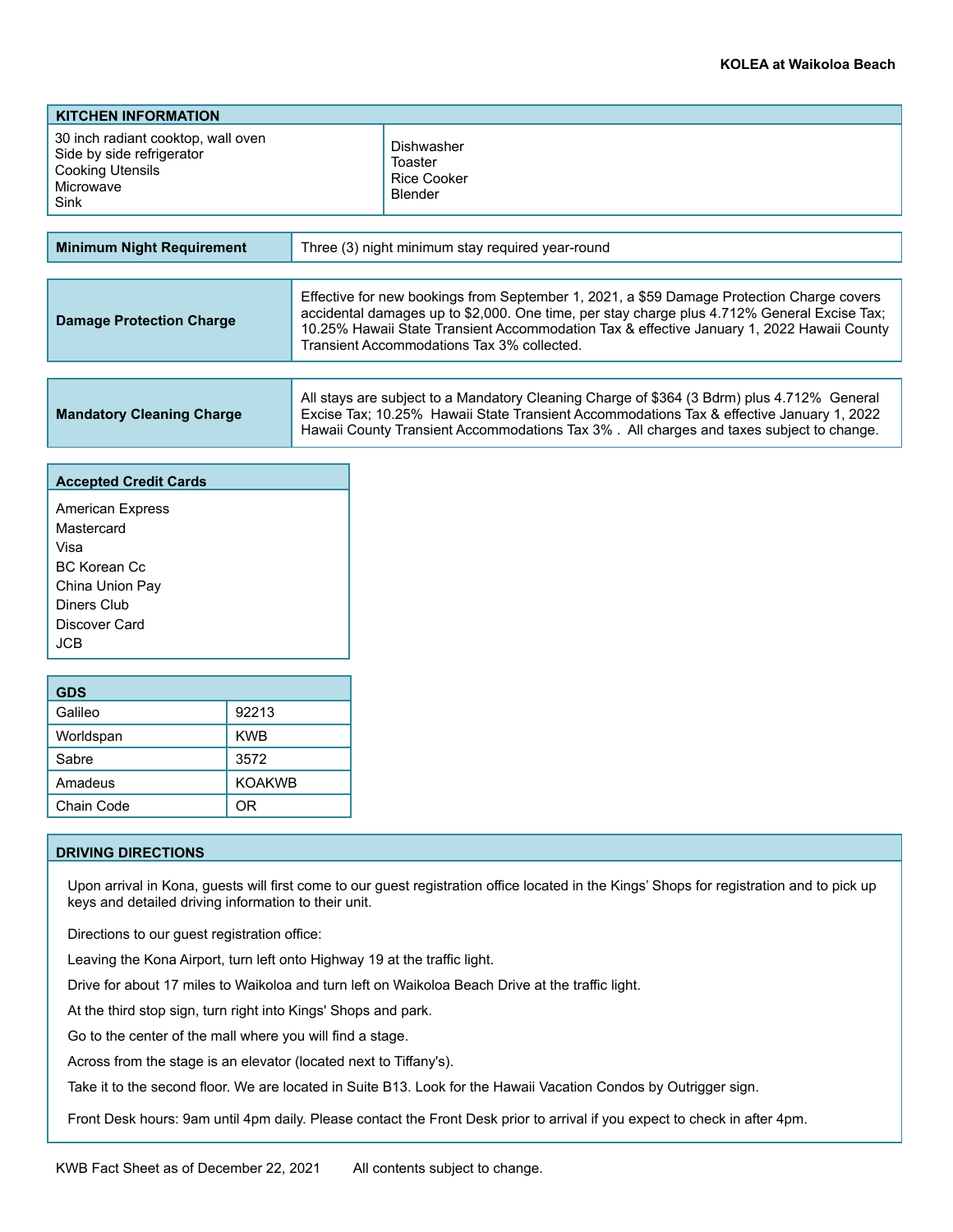| <b>KITCHEN INFORMATION</b>                                                                               |                                                        |
|----------------------------------------------------------------------------------------------------------|--------------------------------------------------------|
| 30 inch radiant cooktop, wall oven<br>Side by side refrigerator<br>Cooking Utensils<br>Microwave<br>Sink | Dishwasher<br>Toaster<br><b>Rice Cooker</b><br>Blender |
|                                                                                                          |                                                        |
| <b>Minimum Night Requirement</b>                                                                         | Three (3) night minimum stay required year-round       |

| <b>Damage Protection Charge</b> | Effective for new bookings from September 1, 2021, a \$59 Damage Protection Charge covers<br>accidental damages up to \$2,000. One time, per stay charge plus 4.712% General Excise Tax;<br>10.25% Hawaii State Transient Accommodation Tax & effective January 1, 2022 Hawaii County<br>Transient Accommodations Tax 3% collected. |
|---------------------------------|-------------------------------------------------------------------------------------------------------------------------------------------------------------------------------------------------------------------------------------------------------------------------------------------------------------------------------------|
|                                 |                                                                                                                                                                                                                                                                                                                                     |
|                                 |                                                                                                                                                                                                                                                                                                                                     |

| <b>Mandatory Cleaning Charge</b> | All stays are subject to a Mandatory Cleaning Charge of \$364 (3 Bdrm) plus 4.712% General<br>Excise Tax; 10.25% Hawaii State Transient Accommodations Tax & effective January 1, 2022 |
|----------------------------------|----------------------------------------------------------------------------------------------------------------------------------------------------------------------------------------|
|                                  | Hawaii County Transient Accommodations Tax 3%. All charges and taxes subject to change.                                                                                                |

| <b>Accepted Credit Cards</b> |  |  |
|------------------------------|--|--|
| <b>American Express</b>      |  |  |
| Mastercard                   |  |  |
| Visa                         |  |  |
| BC Korean Cc                 |  |  |
| China Union Pay              |  |  |
| Diners Club                  |  |  |
| Discover Card                |  |  |
| .ICB                         |  |  |

| <b>GDS</b> |               |  |
|------------|---------------|--|
| Galileo    | 92213         |  |
| Worldspan  | <b>KWB</b>    |  |
| Sabre      | 3572          |  |
| Amadeus    | <b>KOAKWB</b> |  |
| Chain Code | ∩R            |  |

### **DRIVING DIRECTIONS**

Upon arrival in Kona, guests will first come to our guest registration office located in the Kings' Shops for registration and to pick up keys and detailed driving information to their unit.

Directions to our guest registration office:

Leaving the Kona Airport, turn left onto Highway 19 at the traffic light.

Drive for about 17 miles to Waikoloa and turn left on Waikoloa Beach Drive at the traffic light.

At the third stop sign, turn right into Kings' Shops and park.

Go to the center of the mall where you will find a stage.

Across from the stage is an elevator (located next to Tiffany's).

Take it to the second floor. We are located in Suite B13. Look for the Hawaii Vacation Condos by Outrigger sign.

Front Desk hours: 9am until 4pm daily. Please contact the Front Desk prior to arrival if you expect to check in after 4pm.